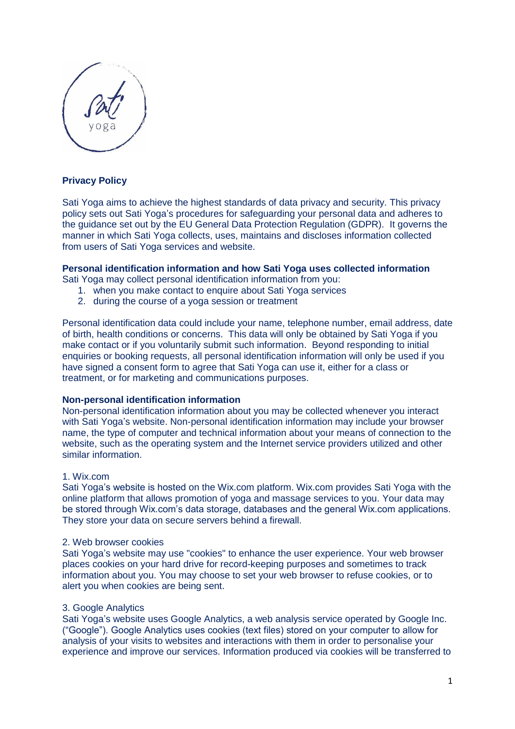

# **Privacy Policy**

Sati Yoga aims to achieve the highest standards of data privacy and security. This privacy policy sets out Sati Yoga's procedures for safeguarding your personal data and adheres to the guidance set out by the EU General Data Protection Regulation (GDPR). It governs the manner in which Sati Yoga collects, uses, maintains and discloses information collected from users of Sati Yoga services and website.

## **Personal identification information and how Sati Yoga uses collected information**

Sati Yoga may collect personal identification information from you:

- 1. when you make contact to enquire about Sati Yoga services
- 2. during the course of a yoga session or treatment

Personal identification data could include your name, telephone number, email address, date of birth, health conditions or concerns. This data will only be obtained by Sati Yoga if you make contact or if you voluntarily submit such information. Beyond responding to initial enquiries or booking requests, all personal identification information will only be used if you have signed a consent form to agree that Sati Yoga can use it, either for a class or treatment, or for marketing and communications purposes.

## **Non-personal identification information**

Non-personal identification information about you may be collected whenever you interact with Sati Yoga's website. Non-personal identification information may include your browser name, the type of computer and technical information about your means of connection to the website, such as the operating system and the Internet service providers utilized and other similar information.

#### 1. Wix.com

Sati Yoga's website is hosted on the Wix.com platform. Wix.com provides Sati Yoga with the online platform that allows promotion of yoga and massage services to you. Your data may be stored through Wix.com's data storage, databases and the general Wix.com applications. They store your data on secure servers behind a firewall.

#### 2. Web browser cookies

Sati Yoga's website may use "cookies" to enhance the user experience. Your web browser places cookies on your hard drive for record-keeping purposes and sometimes to track information about you. You may choose to set your web browser to refuse cookies, or to alert you when cookies are being sent.

## 3. Google Analytics

Sati Yoga's website uses Google Analytics, a web analysis service operated by Google Inc. ("Google"). Google Analytics uses cookies (text files) stored on your computer to allow for analysis of your visits to websites and interactions with them in order to personalise your experience and improve our services. Information produced via cookies will be transferred to